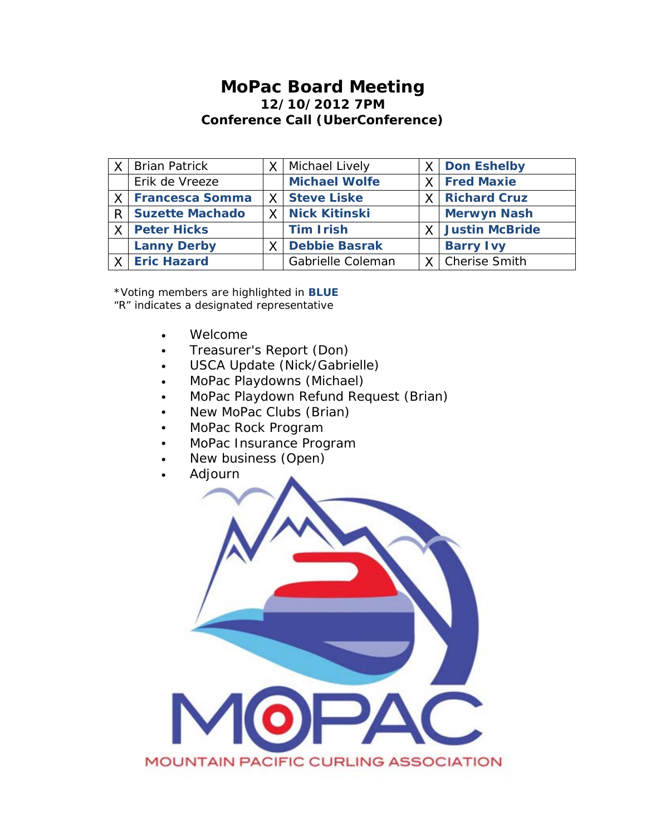## **MoPac Board Meeting** *12/10/2012 7PM* **Conference Call (UberConference)**

| $\mathsf{X}$ | <b>Brian Patrick</b>   |                | Michael Lively       |   | X Don Eshelby         |
|--------------|------------------------|----------------|----------------------|---|-----------------------|
|              | Erik de Vreeze         |                | <b>Michael Wolfe</b> |   | $X$ Fred Maxie        |
|              | X   Francesca Somma    | $\times$       | <b>Steve Liske</b>   |   | X Richard Cruz        |
| R            | <b>Suzette Machado</b> | X <sub>1</sub> | <b>Nick Kitinski</b> |   | <b>Merwyn Nash</b>    |
| $\mathsf{X}$ | <b>Peter Hicks</b>     |                | <b>Tim Irish</b>     | x | <b>Justin McBride</b> |
|              | <b>Lanny Derby</b>     |                | <b>Debbie Basrak</b> |   | <b>Barry Ivy</b>      |
|              | X Eric Hazard          |                | Gabrielle Coleman    |   | $X$ Cherise Smith     |

*\*Voting members are highlighted in BLUE "R" indicates a designated representative* 

- Welcome
- Treasurer's Report (Don)
- USCA Update (Nick/Gabrielle)
- MoPac Playdowns (Michael)
- MoPac Playdown Refund Request (Brian)
- New MoPac Clubs (Brian)
- MoPac Rock Program
- MoPac Insurance Program
- New business (Open)
- Adjourn

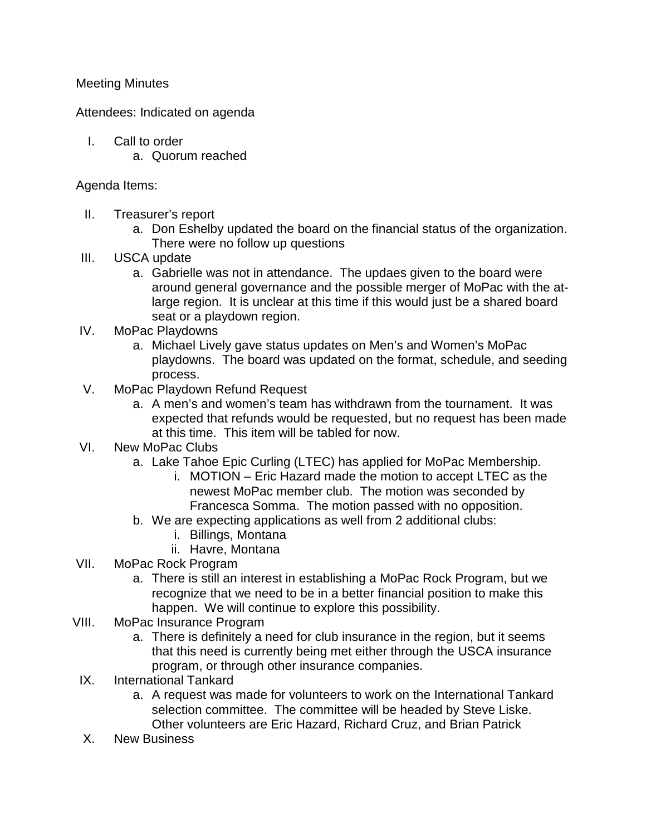## Meeting Minutes

Attendees: Indicated on agenda

- I. Call to order
	- a. Quorum reached

## Agenda Items:

- II. Treasurer's report
	- a. Don Eshelby updated the board on the financial status of the organization. There were no follow up questions
- III. USCA update
	- a. Gabrielle was not in attendance. The updaes given to the board were around general governance and the possible merger of MoPac with the atlarge region. It is unclear at this time if this would just be a shared board seat or a playdown region.
- IV. MoPac Playdowns
	- a. Michael Lively gave status updates on Men's and Women's MoPac playdowns. The board was updated on the format, schedule, and seeding process.
- V. MoPac Playdown Refund Request
	- a. A men's and women's team has withdrawn from the tournament. It was expected that refunds would be requested, but no request has been made at this time. This item will be tabled for now.
- VI. New MoPac Clubs
	- a. Lake Tahoe Epic Curling (LTEC) has applied for MoPac Membership.
		- i. MOTION Eric Hazard made the motion to accept LTEC as the newest MoPac member club. The motion was seconded by Francesca Somma. The motion passed with no opposition.
	- b. We are expecting applications as well from 2 additional clubs:
		- i. Billings, Montana
		- ii. Havre, Montana
- VII. MoPac Rock Program
	- a. There is still an interest in establishing a MoPac Rock Program, but we recognize that we need to be in a better financial position to make this happen. We will continue to explore this possibility.
- VIII. MoPac Insurance Program
	- a. There is definitely a need for club insurance in the region, but it seems that this need is currently being met either through the USCA insurance program, or through other insurance companies.
	- IX. International Tankard
		- a. A request was made for volunteers to work on the International Tankard selection committee. The committee will be headed by Steve Liske. Other volunteers are Eric Hazard, Richard Cruz, and Brian Patrick
	- X. New Business